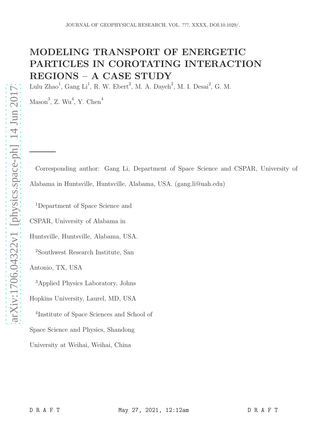# MODELING TRANSPORT OF ENERGETIC PARTICLES IN COROTATING INTERACTION REGIONS – A CASE STUDY

Lulu Zhao<sup>1</sup>, Gang Li<sup>1</sup>, R. W. Ebert<sup>2</sup>, M. A. Dayeh<sup>2</sup>, M. I. Desai<sup>2</sup>, G. M.

 $Mason<sup>3</sup>, Z. Wu<sup>4</sup>, Y. Chen<sup>4</sup>$ 

Corresponding author: Gang Li, Department of Space Science and CSPAR, University of Alabama in Huntsville, Huntsville, Alabama, USA. (gang.li@uah.edu)

<sup>1</sup>Department of Space Science and

CSPAR, University of Alabama in

Huntsville, Huntsville, Alabama, USA.

<sup>2</sup>Southwest Research Institute, San

Antonio, TX, USA

<sup>3</sup>Applied Physics Laboratory, Johns

Hopkins University, Laurel, MD, USA

4 Institute of Space Sciences and School of Space Science and Physics, Shandong University at Weihai, Weihai, China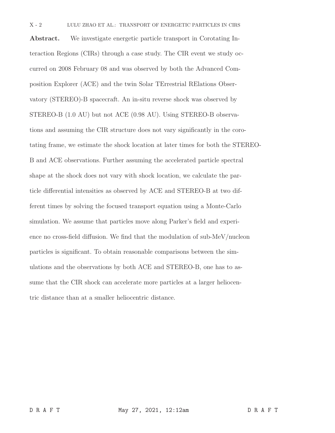Abstract. We investigate energetic particle transport in Corotating Interaction Regions (CIRs) through a case study. The CIR event we study occurred on 2008 February 08 and was observed by both the Advanced Composition Explorer (ACE) and the twin Solar TErrestrial RElations Observatory (STEREO)-B spacecraft. An in-situ reverse shock was observed by STEREO-B (1.0 AU) but not ACE (0.98 AU). Using STEREO-B observations and assuming the CIR structure does not vary significantly in the corotating frame, we estimate the shock location at later times for both the STEREO-B and ACE observations. Further assuming the accelerated particle spectral shape at the shock does not vary with shock location, we calculate the particle differential intensities as observed by ACE and STEREO-B at two different times by solving the focused transport equation using a Monte-Carlo simulation. We assume that particles move along Parker's field and experience no cross-field diffusion. We find that the modulation of sub-MeV/nucleon particles is significant. To obtain reasonable comparisons between the simulations and the observations by both ACE and STEREO-B, one has to assume that the CIR shock can accelerate more particles at a larger heliocentric distance than at a smaller heliocentric distance.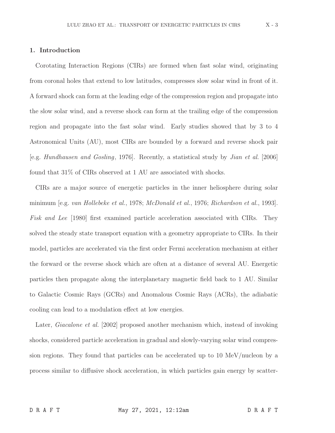## 1. Introduction

Corotating Interaction Regions (CIRs) are formed when fast solar wind, originating from coronal holes that extend to low latitudes, compresses slow solar wind in front of it. A forward shock can form at the leading edge of the compression region and propagate into the slow solar wind, and a reverse shock can form at the trailing edge of the compression region and propagate into the fast solar wind. Early studies showed that by 3 to 4 Astronomical Units (AU), most CIRs are bounded by a forward and reverse shock pair [e.g. Hundhausen and Gosling, 1976]. Recently, a statistical study by Jian et al. [2006] found that 31% of CIRs observed at 1 AU are associated with shocks.

CIRs are a major source of energetic particles in the inner heliosphere during solar minimum [e.g. van Hollebeke et al., 1978; McDonald et al., 1976; Richardson et al., 1993]. Fisk and Lee [1980] first examined particle acceleration associated with CIRs. They solved the steady state transport equation with a geometry appropriate to CIRs. In their model, particles are accelerated via the first order Fermi acceleration mechanism at either the forward or the reverse shock which are often at a distance of several AU. Energetic particles then propagate along the interplanetary magnetic field back to 1 AU. Similar to Galactic Cosmic Rays (GCRs) and Anomalous Cosmic Rays (ACRs), the adiabatic cooling can lead to a modulation effect at low energies.

Later, *Giacalone et al.* [2002] proposed another mechanism which, instead of invoking shocks, considered particle acceleration in gradual and slowly-varying solar wind compression regions. They found that particles can be accelerated up to 10 MeV/nucleon by a process similar to diffusive shock acceleration, in which particles gain energy by scatter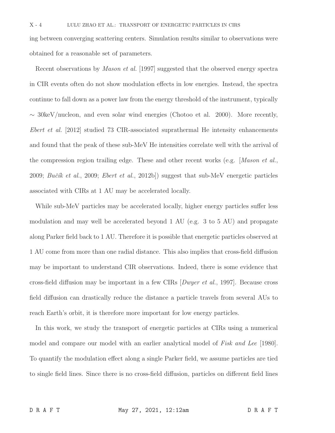ing between converging scattering centers. Simulation results similar to observations were obtained for a reasonable set of parameters.

Recent observations by Mason et al. [1997] suggested that the observed energy spectra in CIR events often do not show modulation effects in low energies. Instead, the spectra continue to fall down as a power law from the energy threshold of the instrument, typically  $\sim$  30keV/nucleon, and even solar wind energies (Chotoo et al. 2000). More recently, Ebert et al. [2012] studied 73 CIR-associated suprathermal He intensity enhancements and found that the peak of these sub-MeV He intensities correlate well with the arrival of the compression region trailing edge. These and other recent works (e.g. [Mason et al., 2009; Bučík et al., 2009; Ebert et al., 2012b) suggest that sub-MeV energetic particles associated with CIRs at 1 AU may be accelerated locally.

While sub-MeV particles may be accelerated locally, higher energy particles suffer less modulation and may well be accelerated beyond 1 AU (e.g. 3 to 5 AU) and propagate along Parker field back to 1 AU. Therefore it is possible that energetic particles observed at 1 AU come from more than one radial distance. This also implies that cross-field diffusion may be important to understand CIR observations. Indeed, there is some evidence that cross-field diffusion may be important in a few CIRs [Dwyer et al., 1997]. Because cross field diffusion can drastically reduce the distance a particle travels from several AUs to reach Earth's orbit, it is therefore more important for low energy particles.

In this work, we study the transport of energetic particles at CIRs using a numerical model and compare our model with an earlier analytical model of Fisk and Lee [1980]. To quantify the modulation effect along a single Parker field, we assume particles are tied to single field lines. Since there is no cross-field diffusion, particles on different field lines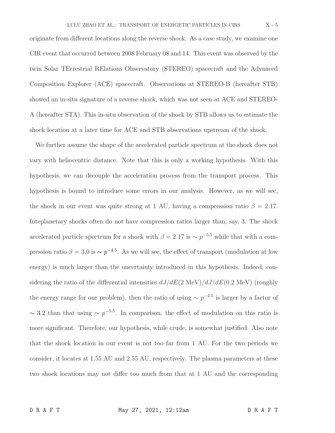originate from different locations along the reverse shock. As a case study, we examine one CIR event that occurred between 2008 February 08 and 14. This event was observed by the twin Solar TErrestrial RElations Observatory (STEREO) spacecraft and the Advanced Composition Explorer (ACE) spacecraft. Observations at STEREO-B (hereafter STB) showed an in-situ signature of a reverse shock, which was not seen at ACE and STEREO-A (hereafter STA). This in-situ observation of the shock by STB allows us to estimate the

shock location at a later time for ACE and STB observations upstream of the shock.

We further assume the shape of the accelerated particle spectrum at the shock does not vary with heliocentric distance. Note that this is only a working hypothesis. With this hypothesis, we can decouple the acceleration process from the transport process. This hypothesis is bound to introduce some errors in our analysis. However, as we will see, the shock in our event was quite strong at 1 AU, having a compression ratio  $\beta = 2.17$ . Inteplanetary shocks often do not have compression ratios larger than, say, 3. The shock accelerated particle spectrum for a shock with  $\beta = 2.17$  is  $\sim p^{-5.5}$  while that with a compression ratio  $\beta = 3.0$  is  $\sim p^{-4.5}$ . As we will see, the effect of transport (modulation at low energy) is much larger than the uncertainty introduced in this hypothesis. Indeed, considering the ratio of the differential intensities  $dJ/dE(2 \text{ MeV})/dJ/dE(0.2 \text{ MeV})$  (roughly the energy range for our problem), then the ratio of using  $\sim p^{-4.5}$  is larger by a factor of  $\sim$  3.2 than that using  $\sim p^{-5.5}$ . In comparison, the effect of modulation on this ratio is more significant. Therefore, our hypothesis, while crude, is somewhat justified. Also note that the shock location in our event is not too far from 1 AU. For the two periods we consider, it locates at 1.55 AU and 2.55 AU, respectively. The plasma parameters at these two shock locations may not differ too much from that at 1 AU and the corresponding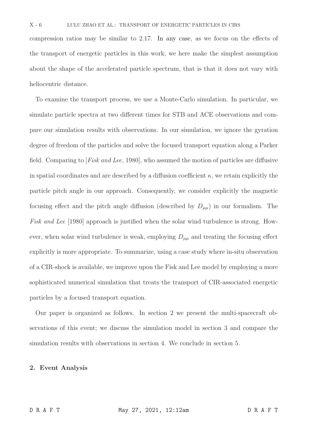compression ratios may be similar to 2.17. In any case, as we focus on the effects of the transport of energetic particles in this work, we here make the simplest assumption about the shape of the accelerated particle spectrum, that is that it does not vary with heliocentric distance.

To examine the transport process, we use a Monte-Carlo simulation. In particular, we simulate particle spectra at two different times for STB and ACE observations and compare our simulation results with observations. In our simulation, we ignore the gyration degree of freedom of the particles and solve the focused transport equation along a Parker field. Comparing to [Fisk and Lee, 1980], who assumed the motion of particles are diffusive in spatial coordinates and are described by a diffusion coefficient  $\kappa$ , we retain explicitly the particle pitch angle in our approach. Consequently, we consider explicitly the magnetic focusing effect and the pitch angle diffusion (described by  $D_{\mu\mu}$ ) in our formalism. The Fisk and Lee [1980] approach is justified when the solar wind turbulence is strong. However, when solar wind turbulence is weak, employing  $D_{\mu\mu}$  and treating the focusing effect explicitly is more appropriate. To summarize, using a case study where in-situ observation of a CIR-shock is available, we improve upon the Fisk and Lee model by employing a more sophisticated numerical simulation that treats the transport of CIR-associated energetic particles by a focused transport equation.

Our paper is organized as follows. In section 2 we present the multi-spacecraft observations of this event; we discuss the simulation model in section 3 and compare the simulation results with observations in section 4. We conclude in section 5.

#### 2. Event Analysis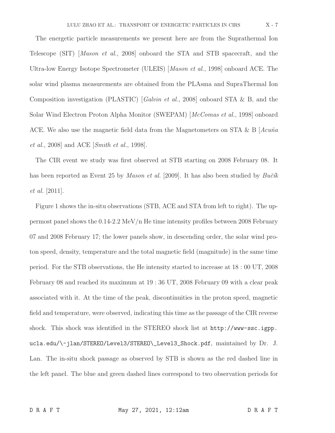The energetic particle measurements we present here are from the Suprathermal Ion Telescope (SIT) [Mason et al., 2008] onboard the STA and STB spacecraft, and the Ultra-low Energy Isotope Spectrometer (ULEIS) [Mason et al., 1998] onboard ACE. The solar wind plasma measurements are obtained from the PLAsma and SupraThermal Ion Composition investigation (PLASTIC) [Galvin et al., 2008] onboard STA & B, and the Solar Wind Electron Proton Alpha Monitor (SWEPAM) [McComas et al., 1998] onboard ACE. We also use the magnetic field data from the Magnetometers on STA & B  $|Acu\tilde{n}a|$ et al., 2008] and ACE [Smith et al., 1998].

The CIR event we study was first observed at STB starting on 2008 February 08. It has been reported as Event 25 by *Mason et al.* [2009]. It has also been studied by  $Bu\check{c}\hat{\mathbf{k}}$ et al. [2011].

Figure 1 shows the in-situ observations (STB, ACE and STA from left to right). The uppermost panel shows the  $0.14$ -2.2 MeV/n He time intensity profiles between 2008 February 07 and 2008 February 17; the lower panels show, in descending order, the solar wind proton speed, density, temperature and the total magnetic field (magnitude) in the same time period. For the STB observations, the He intensity started to increase at 18 : 00 UT, 2008 February 08 and reached its maximum at 19 : 36 UT, 2008 February 09 with a clear peak associated with it. At the time of the peak, discontinuities in the proton speed, magnetic field and temperature, were observed, indicating this time as the passage of the CIR reverse shock. This shock was identified in the STEREO shock list at http://www-ssc.igpp. ucla.edu/\~jlan/STEREO/Level3/STEREO\\_Level3\_Shock.pdf, maintained by Dr. J. Lan. The in-situ shock passage as observed by STB is shown as the red dashed line in the left panel. The blue and green dashed lines correspond to two observation periods for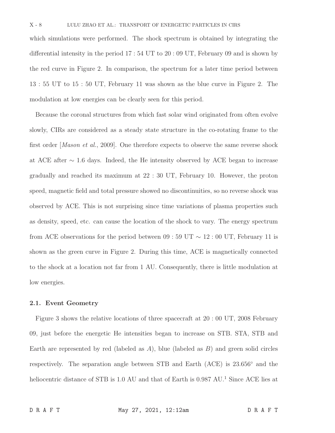which simulations were performed. The shock spectrum is obtained by integrating the differential intensity in the period 17 : 54 UT to 20 : 09 UT, February 09 and is shown by the red curve in Figure 2. In comparison, the spectrum for a later time period between 13 : 55 UT to 15 : 50 UT, February 11 was shown as the blue curve in Figure 2. The modulation at low energies can be clearly seen for this period.

Because the coronal structures from which fast solar wind originated from often evolve slowly, CIRs are considered as a steady state structure in the co-rotating frame to the first order [Mason et al., 2009]. One therefore expects to observe the same reverse shock at ACE after ∼ 1.6 days. Indeed, the He intensity observed by ACE began to increase gradually and reached its maximum at 22 : 30 UT, February 10. However, the proton speed, magnetic field and total pressure showed no discontinuities, so no reverse shock was observed by ACE. This is not surprising since time variations of plasma properties such as density, speed, etc. can cause the location of the shock to vary. The energy spectrum from ACE observations for the period between 09 : 59 UT  $\sim$  12 : 00 UT, February 11 is shown as the green curve in Figure 2. During this time, ACE is magnetically connected to the shock at a location not far from 1 AU. Consequently, there is little modulation at low energies.

#### 2.1. Event Geometry

Figure 3 shows the relative locations of three spacecraft at 20 : 00 UT, 2008 February 09, just before the energetic He intensities began to increase on STB. STA, STB and Earth are represented by red (labeled as  $A$ ), blue (labeled as  $B$ ) and green solid circles respectively. The separation angle between STB and Earth (ACE) is 23.656◦ and the heliocentric distance of STB is 1.0 AU and that of Earth is 0.987 AU.<sup>1</sup> Since ACE lies at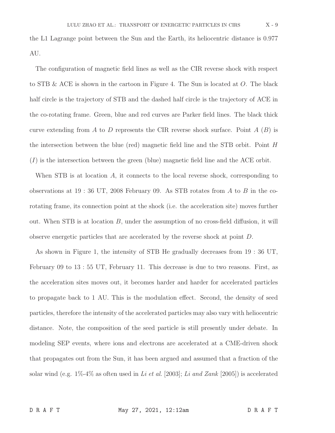the L1 Lagrange point between the Sun and the Earth, its heliocentric distance is 0.977 AU.

The configuration of magnetic field lines as well as the CIR reverse shock with respect to STB & ACE is shown in the cartoon in Figure 4. The Sun is located at O. The black half circle is the trajectory of STB and the dashed half circle is the trajectory of ACE in the co-rotating frame. Green, blue and red curves are Parker field lines. The black thick curve extending from A to D represents the CIR reverse shock surface. Point  $A(B)$  is the intersection between the blue (red) magnetic field line and the STB orbit. Point  $H$  $(I)$  is the intersection between the green (blue) magnetic field line and the ACE orbit.

When STB is at location  $A$ , it connects to the local reverse shock, corresponding to observations at 19 : 36 UT, 2008 February 09. As STB rotates from A to B in the corotating frame, its connection point at the shock (i.e. the acceleration site) moves further out. When STB is at location B, under the assumption of no cross-field diffusion, it will observe energetic particles that are accelerated by the reverse shock at point D.

As shown in Figure 1, the intensity of STB He gradually decreases from 19 : 36 UT, February 09 to 13 : 55 UT, February 11. This decrease is due to two reasons. First, as the acceleration sites moves out, it becomes harder and harder for accelerated particles to propagate back to 1 AU. This is the modulation effect. Second, the density of seed particles, therefore the intensity of the accelerated particles may also vary with heliocentric distance. Note, the composition of the seed particle is still presently under debate. In modeling SEP events, where ions and electrons are accelerated at a CME-driven shock that propagates out from the Sun, it has been argued and assumed that a fraction of the solar wind (e.g.  $1\% - 4\%$  as often used in Li et al. [2003]; Li and Zank [2005]) is accelerated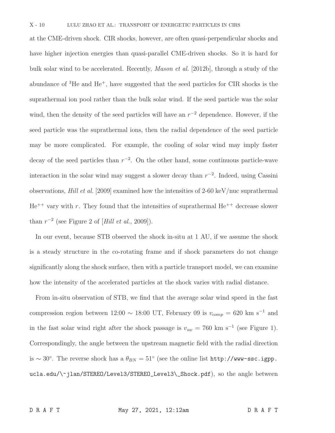at the CME-driven shock. CIR shocks, however, are often quasi-perpendicular shocks and have higher injection energies than quasi-parallel CME-driven shocks. So it is hard for bulk solar wind to be accelerated. Recently, Mason et al. [2012b], through a study of the abundance of <sup>3</sup>He and He<sup>+</sup>, have suggested that the seed particles for CIR shocks is the suprathermal ion pool rather than the bulk solar wind. If the seed particle was the solar wind, then the density of the seed particles will have an  $r^{-2}$  dependence. However, if the seed particle was the suprathermal ions, then the radial dependence of the seed particle may be more complicated. For example, the cooling of solar wind may imply faster decay of the seed particles than  $r^{-2}$ . On the other hand, some continuous particle-wave interaction in the solar wind may suggest a slower decay than  $r^{-2}$ . Indeed, using Cassini observations, Hill et al. [2009] examined how the intensities of 2-60 keV/nuc suprathermal  $He^{++}$  vary with r. They found that the intensities of suprathermal  $He^{++}$  decrease slower than  $r^{-2}$  (see Figure 2 of [Hill et al., 2009]).

In our event, because STB observed the shock in-situ at 1 AU, if we assume the shock is a steady structure in the co-rotating frame and if shock parameters do not change significantly along the shock surface, then with a particle transport model, we can examine how the intensity of the accelerated particles at the shock varies with radial distance.

From in-situ observation of STB, we find that the average solar wind speed in the fast compression region between 12:00  $\sim$  18:00 UT, February 09 is  $v_{comp} = 620 \text{ km s}^{-1}$  and in the fast solar wind right after the shock passage is  $v_{sw} = 760 \text{ km s}^{-1}$  (see Figure 1). Correspondingly, the angle between the upstream magnetic field with the radial direction is ~ 30°. The reverse shock has a  $\theta_{BN} = 51^\circ$  (see the online list http://www-ssc.igpp. ucla.edu/\~jlan/STEREO/Level3/STEREO\_Level3\\_Shock.pdf), so the angle between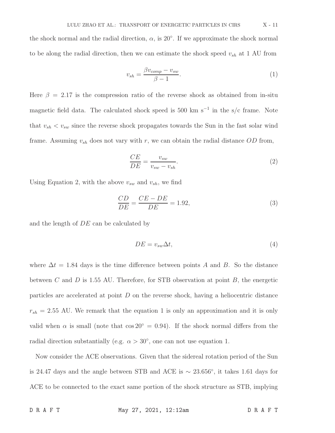the shock normal and the radial direction,  $\alpha$ , is 20 $^{\circ}$ . If we approximate the shock normal to be along the radial direction, then we can estimate the shock speed  $v_{sh}$  at 1 AU from

$$
v_{sh} = \frac{\beta v_{comp} - v_{sw}}{\beta - 1}.
$$
\n(1)

Here  $\beta = 2.17$  is the compression ratio of the reverse shock as obtained from in-situ magnetic field data. The calculated shock speed is 500 km s<sup> $-1$ </sup> in the s/c frame. Note that  $v_{sh} < v_{sw}$  since the reverse shock propagates towards the Sun in the fast solar wind frame. Assuming  $v_{sh}$  does not vary with r, we can obtain the radial distance  $OD$  from,

$$
\frac{CE}{DE} = \frac{v_{sw}}{v_{sw} - v_{sh}}.\tag{2}
$$

Using Equation 2, with the above  $v_{sw}$  and  $v_{sh}$ , we find

$$
\frac{CD}{DE} = \frac{CE - DE}{DE} = 1.92,\tag{3}
$$

and the length of DE can be calculated by

$$
DE = v_{sw} \Delta t,\tag{4}
$$

where  $\Delta t = 1.84$  days is the time difference between points A and B. So the distance between C and D is 1.55 AU. Therefore, for STB observation at point  $B$ , the energetic particles are accelerated at point  $D$  on the reverse shock, having a heliocentric distance  $r_{sh} = 2.55$  AU. We remark that the equation 1 is only an approximation and it is only valid when  $\alpha$  is small (note that  $\cos 20^\circ = 0.94$ ). If the shock normal differs from the radial direction substantially (e.g.  $\alpha > 30^{\circ}$ , one can not use equation 1.

Now consider the ACE observations. Given that the sidereal rotation period of the Sun is 24.47 days and the angle between STB and ACE is  $\sim 23.656^{\circ}$ , it takes 1.61 days for ACE to be connected to the exact same portion of the shock structure as STB, implying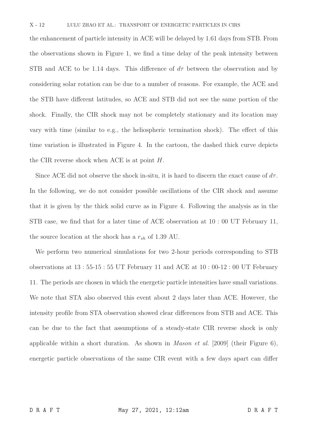the enhancement of particle intensity in ACE will be delayed by 1.61 days from STB. From the observations shown in Figure 1, we find a time delay of the peak intensity between STB and ACE to be 1.14 days. This difference of  $d\tau$  between the observation and by considering solar rotation can be due to a number of reasons. For example, the ACE and the STB have different latitudes, so ACE and STB did not see the same portion of the shock. Finally, the CIR shock may not be completely stationary and its location may vary with time (similar to e.g., the heliospheric termination shock). The effect of this time variation is illustrated in Figure 4. In the cartoon, the dashed thick curve depicts the CIR reverse shock when ACE is at point H.

Since ACE did not observe the shock in-situ, it is hard to discern the exact cause of  $d\tau$ . In the following, we do not consider possible oscillations of the CIR shock and assume that it is given by the thick solid curve as in Figure 4. Following the analysis as in the STB case, we find that for a later time of ACE observation at 10 : 00 UT February 11, the source location at the shock has a  $r_{sh}$  of 1.39 AU.

We perform two numerical simulations for two 2-hour periods corresponding to STB observations at 13 : 55-15 : 55 UT February 11 and ACE at 10 : 00-12 : 00 UT February 11. The periods are chosen in which the energetic particle intensities have small variations. We note that STA also observed this event about 2 days later than ACE. However, the intensity profile from STA observation showed clear differences from STB and ACE. This can be due to the fact that assumptions of a steady-state CIR reverse shock is only applicable within a short duration. As shown in *Mason et al.* [2009] (their Figure 6), energetic particle observations of the same CIR event with a few days apart can differ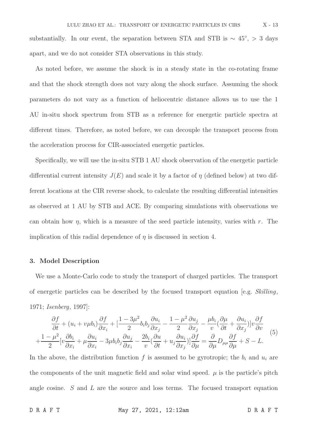substantially. In our event, the separation between STA and STB is  $\sim 45^{\circ}$ , > 3 days apart, and we do not consider STA observations in this study.

As noted before, we assume the shock is in a steady state in the co-rotating frame and that the shock strength does not vary along the shock surface. Assuming the shock parameters do not vary as a function of heliocentric distance allows us to use the 1 AU in-situ shock spectrum from STB as a reference for energetic particle spectra at different times. Therefore, as noted before, we can decouple the transport process from the acceleration process for CIR-associated energetic particles.

Specifically, we will use the in-situ STB 1 AU shock observation of the energetic particle differential current intensity  $J(E)$  and scale it by a factor of  $\eta$  (defined below) at two different locations at the CIR reverse shock, to calculate the resulting differential intensities as observed at 1 AU by STB and ACE. By comparing simulations with observations we can obtain how  $\eta$ , which is a measure of the seed particle intensity, varies with r. The implication of this radial dependence of  $\eta$  is discussed in section 4.

#### 3. Model Description

We use a Monte-Carlo code to study the transport of charged particles. The transport of energetic particles can be described by the focused transport equation [e.g.  $Skilling$ , 1971; Isenberg, 1997]:

$$
\frac{\partial f}{\partial t} + (u_i + v\mu b_i) \frac{\partial f}{\partial x_i} + \left[ \frac{1 - 3\mu^2}{2} b_i b_j \frac{\partial u_i}{\partial x_j} - \frac{1 - \mu^2}{2} \frac{\partial u_j}{\partial x_j} - \frac{\mu b_i}{v} (\frac{\partial \mu}{\partial t} + \frac{\partial u_i}{\partial x_j}) \right] v \frac{\partial f}{\partial v} \n+ \frac{1 - \mu^2}{2} [v \frac{\partial b_i}{\partial x_i} + \mu \frac{\partial u_i}{\partial x_i} - 3\mu b_i b_j \frac{\partial u_j}{\partial x_i} - \frac{2b_i}{v} (\frac{\partial u}{\partial t} + u_j \frac{\partial u_i}{\partial x_j})] \frac{\partial f}{\partial \mu} = \frac{\partial}{\partial \mu} D_{\mu\mu} \frac{\partial f}{\partial \mu} + S - L.
$$
\n(5)

In the above, the distribution function f is assumed to be gyrotropic; the  $b_i$  and  $u_i$  are the components of the unit magnetic field and solar wind speed.  $\mu$  is the particle's pitch angle cosine. S and L are the source and loss terms. The focused transport equation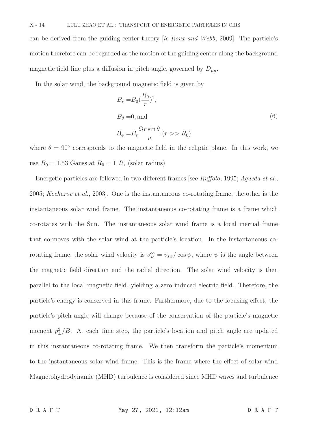can be derived from the guiding center theory [le Roux and Webb, 2009]. The particle's motion therefore can be regarded as the motion of the guiding center along the background magnetic field line plus a diffusion in pitch angle, governed by  $D_{\mu\mu}$ .

In the solar wind, the background magnetic field is given by

$$
B_r = B_0 \left(\frac{R_0}{r}\right)^2,
$$
  
\n
$$
B_{\theta} = 0, \text{ and}
$$
  
\n
$$
B_{\phi} = B_r \frac{\Omega r \sin \theta}{u} \quad (r > R_0)
$$
\n(6)

where  $\theta = 90^{\circ}$  corresponds to the magnetic field in the ecliptic plane. In this work, we use  $B_0 = 1.53$  Gauss at  $R_0 = 1$   $R_s$  (solar radius).

Energetic particles are followed in two different frames [see Ruffolo, 1995; Agueda et al., 2005; Kocharov et al., 2003]. One is the instantaneous co-rotating frame, the other is the instantaneous solar wind frame. The instantaneous co-rotating frame is a frame which co-rotates with the Sun. The instantaneous solar wind frame is a local inertial frame that co-moves with the solar wind at the particle's location. In the instantaneous corotating frame, the solar wind velocity is  $v_{sh}^{co} = v_{sw}/\cos\psi$ , where  $\psi$  is the angle between the magnetic field direction and the radial direction. The solar wind velocity is then parallel to the local magnetic field, yielding a zero induced electric field. Therefore, the particle's energy is conserved in this frame. Furthermore, due to the focusing effect, the particle's pitch angle will change because of the conservation of the particle's magnetic moment  $p_{\perp}^{2}/B$ . At each time step, the particle's location and pitch angle are updated in this instantaneous co-rotating frame. We then transform the particle's momentum to the instantaneous solar wind frame. This is the frame where the effect of solar wind Magnetohydrodynamic (MHD) turbulence is considered since MHD waves and turbulence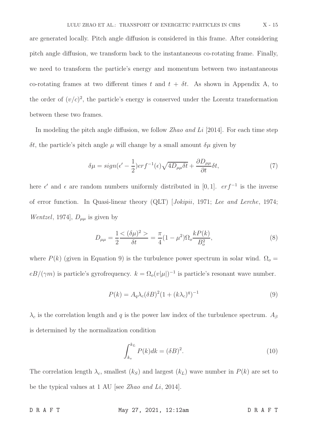are generated locally. Pitch angle diffusion is considered in this frame. After considering pitch angle diffusion, we transform back to the instantaneous co-rotating frame. Finally, we need to transform the particle's energy and momentum between two instantaneous co-rotating frames at two different times t and  $t + \delta t$ . As shown in Appendix A, to the order of  $(v/c)^2$ , the particle's energy is conserved under the Lorentz transformation between these two frames.

In modeling the pitch angle diffusion, we follow Zhao and Li [2014]. For each time step δt, the particle's pitch angle  $\mu$  will change by a small amount δ $\mu$  given by

$$
\delta\mu = sign(\epsilon' - \frac{1}{2})erf^{-1}(\epsilon)\sqrt{4D_{\mu\mu}\delta t} + \frac{\partial D_{\mu\mu}}{\partial t}\delta t,\tag{7}
$$

here  $\epsilon'$  and  $\epsilon$  are random numbers uniformly distributed in [0, 1].  $er f^{-1}$  is the inverse of error function. In Quasi-linear theory (QLT) [Jokipii, 1971; Lee and Lerche, 1974; *Wentzel*, 1974],  $D_{\mu\mu}$  is given by

$$
D_{\mu\mu} = \frac{1}{2} \frac{(<\delta\mu)^2>}{\delta t} = \frac{\pi}{4} (1 - \mu^2) \Omega_o \frac{k P(k)}{B_o^2},\tag{8}
$$

where  $P(k)$  (given in Equation 9) is the turbulence power spectrum in solar wind.  $\Omega_0 =$  $eB/(\gamma m)$  is particle's gyrofrequency.  $k = \Omega_o(v|\mu|)^{-1}$  is particle's resonant wave number.

$$
P(k) = A_q \lambda_c (\delta B)^2 (1 + (k \lambda_c)^q)^{-1}
$$
\n
$$
(9)
$$

 $\lambda_c$  is the correlation length and q is the power law index of the turbulence spectrum.  $A_\beta$ is determined by the normalization condition

$$
\int_{k_s}^{k_L} P(k)dk = (\delta B)^2.
$$
\n(10)

The correlation length  $\lambda_c$ , smallest  $(k_S)$  and largest  $(k_L)$  wave number in  $P(k)$  are set to be the typical values at 1 AU [see *Zhao and Li*, 2014].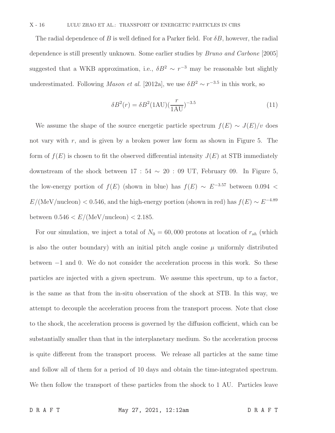The radial dependence of B is well defined for a Parker field. For  $\delta B$ , however, the radial dependence is still presently unknown. Some earlier studies by Bruno and Carbone [2005] suggested that a WKB approximation, i.e.,  $\delta B^2 \sim r^{-3}$  may be reasonable but slightly underestimated. Following Mason et al. [2012a], we use  $\delta B^2 \sim r^{-3.5}$  in this work, so

$$
\delta B^2(r) = \delta B^2 (1 \text{AU}) \left(\frac{r}{1 \text{AU}}\right)^{-3.5} \tag{11}
$$

We assume the shape of the source energetic particle spectrum  $f(E) \sim J(E)/v$  does not vary with  $r$ , and is given by a broken power law form as shown in Figure 5. The form of  $f(E)$  is chosen to fit the observed differential intensity  $J(E)$  at STB immediately downstream of the shock between  $17 : 54 \sim 20 : 09$  UT, February 09. In Figure 5, the low-energy portion of  $f(E)$  (shown in blue) has  $f(E) \sim E^{-3.57}$  between 0.094 <  $E/(\text{MeV/nucleon}) < 0.546$ , and the high-energy portion (shown in red) has  $f(E) \sim E^{-4.89}$ between  $0.546 < E/(\text{MeV/nucleon}) < 2.185$ .

For our simulation, we inject a total of  $N_0 = 60,000$  protons at location of  $r_{sh}$  (which is also the outer boundary) with an initial pitch angle cosine  $\mu$  uniformly distributed between −1 and 0. We do not consider the acceleration process in this work. So these particles are injected with a given spectrum. We assume this spectrum, up to a factor, is the same as that from the in-situ observation of the shock at STB. In this way, we attempt to decouple the acceleration process from the transport process. Note that close to the shock, the acceleration process is governed by the diffusion cofficient, which can be substantially smaller than that in the interplanetary medium. So the acceleration process is quite different from the transport process. We release all particles at the same time and follow all of them for a period of 10 days and obtain the time-integrated spectrum. We then follow the transport of these particles from the shock to 1 AU. Particles leave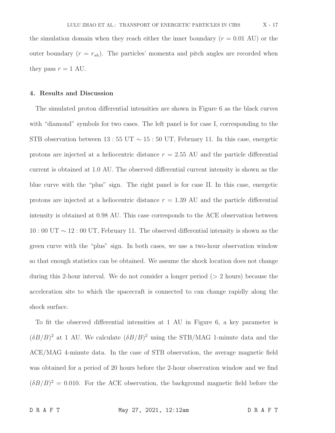the simulation domain when they reach either the inner boundary  $(r = 0.01 \text{ AU})$  or the outer boundary  $(r = r_{sh})$ . The particles' momenta and pitch angles are recorded when they pass  $r = 1$  AU.

#### 4. Results and Discussion

The simulated proton differential intensities are shown in Figure 6 as the black curves with "diamond" symbols for two cases. The left panel is for case I, corresponding to the STB observation between 13 : 55 UT  $\sim$  15 : 50 UT, February 11. In this case, energetic protons are injected at a heliocentric distance  $r = 2.55$  AU and the particle differential current is obtained at 1.0 AU. The observed differential current intensity is shown as the blue curve with the "plus" sign. The right panel is for case II. In this case, energetic protons are injected at a heliocentric distance  $r = 1.39$  AU and the particle differential intensity is obtained at 0.98 AU. This case corresponds to the ACE observation between 10 : 00 UT ∼ 12 : 00 UT, February 11. The observed differential intensity is shown as the green curve with the "plus" sign. In both cases, we use a two-hour observation window so that enough statistics can be obtained. We assume the shock location does not change during this 2-hour interval. We do not consider a longer period  $(> 2 \text{ hours})$  because the acceleration site to which the spacecraft is connected to can change rapidly along the shock surface.

To fit the observed differential intensities at 1 AU in Figure 6, a key parameter is  $(\delta B/B)^2$  at 1 AU. We calculate  $(\delta B/B)^2$  using the STB/MAG 1-minute data and the ACE/MAG 4-minute data. In the case of STB observation, the average magnetic field was obtained for a period of 20 hours before the 2-hour observation window and we find  $(\delta B/B)^2 = 0.010$ . For the ACE observation, the background magnetic field before the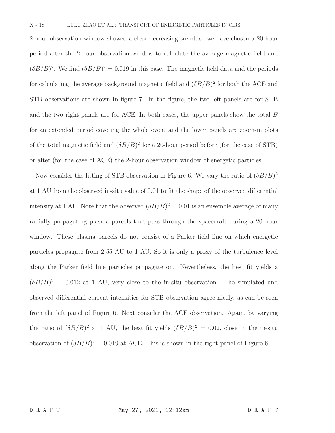2-hour observation window showed a clear decreasing trend, so we have chosen a 20-hour period after the 2-hour observation window to calculate the average magnetic field and  $(\delta B/B)^2$ . We find  $(\delta B/B)^2 = 0.019$  in this case. The magnetic field data and the periods for calculating the average background magnetic field and  $(\delta B/B)^2$  for both the ACE and STB observations are shown in figure 7. In the figure, the two left panels are for STB and the two right panels are for ACE. In both cases, the upper panels show the total B for an extended period covering the whole event and the lower panels are zoom-in plots of the total magnetic field and  $(\delta B/B)^2$  for a 20-hour period before (for the case of STB) or after (for the case of ACE) the 2-hour observation window of energetic particles.

Now consider the fitting of STB observation in Figure 6. We vary the ratio of  $(\delta B/B)^2$ at 1 AU from the observed in-situ value of 0.01 to fit the shape of the observed differential intensity at 1 AU. Note that the observed  $(\delta B/B)^2 = 0.01$  is an ensemble average of many radially propagating plasma parcels that pass through the spacecraft during a 20 hour window. These plasma parcels do not consist of a Parker field line on which energetic particles propagate from 2.55 AU to 1 AU. So it is only a proxy of the turbulence level along the Parker field line particles propagate on. Nevertheless, the best fit yields a  $(\delta B/B)^2 = 0.012$  at 1 AU, very close to the in-situ observation. The simulated and observed differential current intensities for STB observation agree nicely, as can be seen from the left panel of Figure 6. Next consider the ACE observation. Again, by varying the ratio of  $(\delta B/B)^2$  at 1 AU, the best fit yields  $(\delta B/B)^2 = 0.02$ , close to the in-situ observation of  $(\delta B/B)^2 = 0.019$  at ACE. This is shown in the right panel of Figure 6.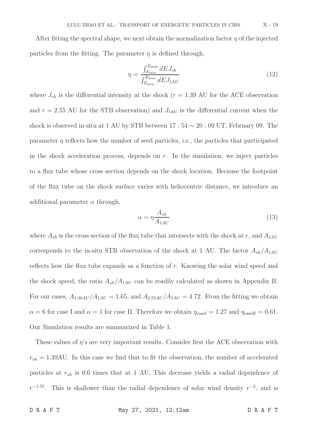After fitting the spectral shape, we next obtain the normalization factor  $\eta$  of the injected particles from the fitting. The parameter  $\eta$  is defined through,

$$
\eta = \frac{\int_{E_{\text{min}}}^{E_{\text{max}}} dE J_{sh}}{\int_{E_{\text{min}}}^{E_{\text{max}}} dE J_{1 \text{AU}}}
$$
(12)

where  $J_{sh}$  is the differential intensity at the shock ( $r = 1.39$  AU for the ACE observation and  $r = 2.55$  AU for the STB observation) and  $J_{1AU}$  is the differential current when the shock is observed in-situ at 1 AU by STB between  $17:54 \sim 20:09$  UT, February 09. The parameter  $\eta$  reflects how the number of seed particles, i.e., the particles that participated in the shock acceleration process, depends on  $r$ . In the simulation, we inject particles to a flux tube whose cross section depends on the shock location. Because the footpoint of the flux tube on the shock surface varies with heliocentric distance, we introduce an additional parameter  $\alpha$  through,

$$
\alpha = \eta \frac{A_{sh}}{A_{1AU}} \tag{13}
$$

where  $A_{sh}$  is the cross section of the flux tube that intersects with the shock at r, and  $A_{1AU}$ corresponds to the in-situ STB observation of the shock at 1 AU. The factor  $A_{sh}/A_{1AU}$ reflects how the flux tube expands as a function of r. Knowing the solar wind speed and the shock speed, the ratio  $A_{sh}/A_{1AU}$  can be readily calculated as shown in Appendix B. For our cases,  $A_{1.39AU}/A_{1AU} = 1.65$ , and  $A_{2.55AU}/A_{1AU} = 4.72$ . From the fitting we obtain  $\alpha = 6$  for case I and  $\alpha = 1$  for case II. Therefore we obtain  $\eta_{\text{caseI}} = 1.27$  and  $\eta_{\text{caseII}} = 0.61$ . Our Simulation results are summarized in Table 1.

These values of  $\eta$ 's are very important results. Consider first the ACE observation with  $r_{sh} = 1.39 \text{AU}$ . In this case we find that to fit the observation, the number of accelerated particles at  $r_{sh}$  is 0.6 times that at 1 AU. This decrease yields a radial dependence of  $r^{-1.55}$ . This is shallower than the radial dependence of solar wind density  $r^{-2}$ , and is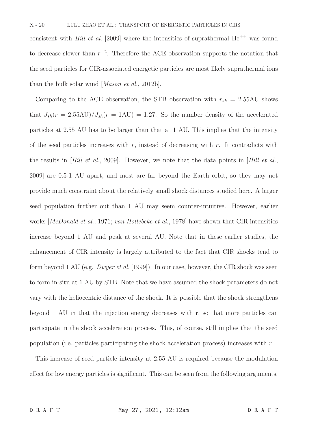consistent with Hill et al. [2009] where the intensities of suprathermal  $He^{++}$  was found to decrease slower than  $r^{-2}$ . Therefore the ACE observation supports the notation that the seed particles for CIR-associated energetic particles are most likely suprathermal ions than the bulk solar wind [Mason et al., 2012b].

Comparing to the ACE observation, the STB observation with  $r_{sh} = 2.55 \text{AU}$  shows that  $J_{sh}(r = 2.55 \text{AU})/J_{sh}(r = 1 \text{AU}) = 1.27$ . So the number density of the accelerated particles at 2.55 AU has to be larger than that at 1 AU. This implies that the intensity of the seed particles increases with  $r$ , instead of decreasing with  $r$ . It contradicts with the results in *Hill et al.*, 2009. However, we note that the data points in *Hill et al.*, 2009] are 0.5-1 AU apart, and most are far beyond the Earth orbit, so they may not provide much constraint about the relatively small shock distances studied here. A larger seed population further out than 1 AU may seem counter-intuitive. However, earlier works *McDonald et al.*, 1976; van Hollebeke et al., 1978 have shown that CIR intensities increase beyond 1 AU and peak at several AU. Note that in these earlier studies, the enhancement of CIR intensity is largely attributed to the fact that CIR shocks tend to form beyond 1 AU (e.g. Dwyer et al. [1999]). In our case, however, the CIR shock was seen to form in-situ at 1 AU by STB. Note that we have assumed the shock parameters do not vary with the heliocentric distance of the shock. It is possible that the shock strengthens beyond 1 AU in that the injection energy decreases with r, so that more particles can participate in the shock acceleration process. This, of course, still implies that the seed population (i.e. particles participating the shock acceleration process) increases with  $r$ .

This increase of seed particle intensity at 2.55 AU is required because the modulation effect for low energy particles is significant. This can be seen from the following arguments.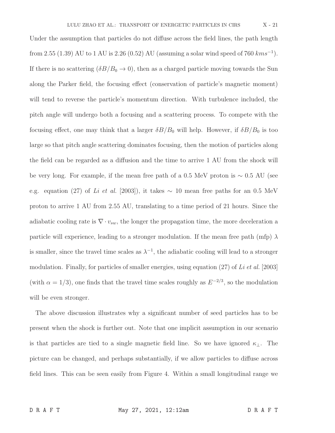Under the assumption that particles do not diffuse across the field lines, the path length from 2.55 (1.39) AU to 1 AU is 2.26 (0.52) AU (assuming a solar wind speed of 760  $km s^{-1}$ ). If there is no scattering  $(\delta B/B_0 \rightarrow 0)$ , then as a charged particle moving towards the Sun along the Parker field, the focusing effect (conservation of particle's magnetic moment) will tend to reverse the particle's momentum direction. With turbulence included, the pitch angle will undergo both a focusing and a scattering process. To compete with the focusing effect, one may think that a larger  $\delta B/B_0$  will help. However, if  $\delta B/B_0$  is too large so that pitch angle scattering dominates focusing, then the motion of particles along the field can be regarded as a diffusion and the time to arrive 1 AU from the shock will be very long. For example, if the mean free path of a 0.5 MeV proton is ∼ 0.5 AU (see e.g. equation (27) of Li et al. [2003]), it takes  $\sim 10$  mean free paths for an 0.5 MeV proton to arrive 1 AU from 2.55 AU, translating to a time period of 21 hours. Since the adiabatic cooling rate is  $\nabla \cdot v_{sw}$ , the longer the propagation time, the more deceleration a particle will experience, leading to a stronger modulation. If the mean free path (mfp)  $\lambda$ is smaller, since the travel time scales as  $\lambda^{-1}$ , the adiabatic cooling will lead to a stronger modulation. Finally, for particles of smaller energies, using equation  $(27)$  of Li et al. [2003] (with  $\alpha = 1/3$ ), one finds that the travel time scales roughly as  $E^{-2/3}$ , so the modulation will be even stronger.

The above discussion illustrates why a significant number of seed particles has to be present when the shock is further out. Note that one implicit assumption in our scenario is that particles are tied to a single magnetic field line. So we have ignored  $\kappa_{\perp}$ . The picture can be changed, and perhaps substantially, if we allow particles to diffuse across field lines. This can be seen easily from Figure 4. Within a small longitudinal range we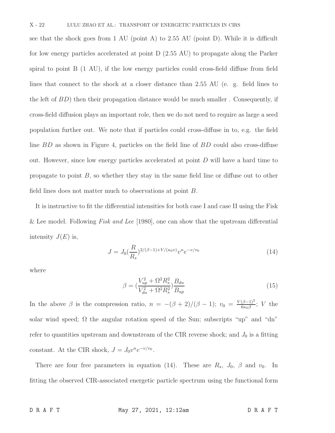see that the shock goes from 1 AU (point A) to 2.55 AU (point D). While it is difficult for low energy particles accelerated at point D (2.55 AU) to propagate along the Parker spiral to point B (1 AU), if the low energy particles could cross-field diffuse from field lines that connect to the shock at a closer distance than 2.55 AU (e. g. field lines to the left of  $BD$ ) then their propagation distance would be much smaller. Consequently, if cross-field diffusion plays an important role, then we do not need to require as large a seed population further out. We note that if particles could cross-diffuse in to, e.g. the field line BD as shown in Figure 4, particles on the field line of BD could also cross-diffuse out. However, since low energy particles accelerated at point  $D$  will have a hard time to propagate to point  $B$ , so whether they stay in the same field line or diffuse out to other field lines does not matter much to observations at point B.

It is instructive to fit the differential intensities for both case I and case II using the Fisk & Lee model. Following Fisk and Lee [1980], one can show that the upstream differential intensity  $J(E)$  is,

$$
J = J_0 \left(\frac{R}{R_s}\right)^{2/(\beta - 1) + V/(\kappa_0 v)} v^n e^{-v/v_0} \tag{14}
$$

where

$$
\beta = \left(\frac{V_{up}^2 + \Omega^2 R_s^2}{V_{dn}^2 + \Omega^2 R_s^2}\right) \frac{B_{dn}}{B_{up}}
$$
\n(15)

In the above  $\beta$  is the compression ratio,  $n = -(\beta + 2)/(\beta - 1)$ ;  $v_0 = \frac{V(\beta - 1)^2}{6\kappa_0 \beta}$  $\frac{(\beta-1)^2}{6\kappa_0\beta}$ ; V the solar wind speed;  $\Omega$  the angular rotation speed of the Sun; subscripts "up" and "dn" refer to quantities upstream and downstream of the CIR reverse shock; and  $J_0$  is a fitting constant. At the CIR shock,  $J = J_0 v^n e^{-v/v_0}$ .

There are four free parameters in equation (14). These are  $R_s$ ,  $J_0$ ,  $\beta$  and  $v_0$ . In fitting the observed CIR-associated energetic particle spectrum using the functional form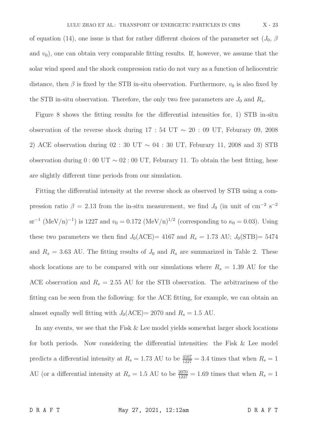of equation (14), one issue is that for rather different choices of the parameter set  $(J_0, \beta)$ and  $v_0$ ), one can obtain very comparable fitting results. If, however, we assume that the solar wind speed and the shock compression ratio do not vary as a function of heliocentric distance, then  $\beta$  is fixed by the STB in-situ observation. Furthermore,  $v_0$  is also fixed by the STB in-situ observation. Therefore, the only two free parameters are  $J_0$  and  $R_s$ .

Figure 8 shows the fitting results for the differential intensities for, 1) STB in-situ observation of the reverse shock during  $17 : 54$  UT  $\sim 20 : 09$  UT, Feburary 09, 2008 2) ACE observation during 02 : 30 UT ~ 04 : 30 UT, Feburary 11, 2008 and 3) STB observation during  $0:00$  UT  $\sim 02:00$  UT, Feburary 11. To obtain the best fitting, hese are slightly different time periods from our simulation.

Fitting the differential intensity at the reverse shock as observed by STB using a compression ratio  $\beta = 2.13$  from the in-situ measurement, we find  $J_0$  (in unit of cm<sup>-2</sup> s<sup>-2</sup> sr<sup>-1</sup> (MeV/n)<sup>-1</sup>) is 1227 and  $v_0 = 0.172$  (MeV/n)<sup>1/2</sup> (corresponding to  $\kappa_0 = 0.03$ ). Using these two parameters we then find  $J_0(ACE) = 4167$  and  $R_s = 1.73$  AU;  $J_0(STB) = 5474$ and  $R_s = 3.63$  AU. The fitting results of  $J_0$  and  $R_s$  are summarized in Table 2. These shock locations are to be compared with our simulations where  $R_s = 1.39$  AU for the ACE observation and  $R_s = 2.55$  AU for the STB observation. The arbitrariness of the fitting can be seen from the following: for the ACE fitting, for example, we can obtain an almost equally well fitting with  $J_0(ACE) = 2070$  and  $R_s = 1.5$  AU.

In any events, we see that the Fisk & Lee model yields somewhat larger shock locations for both periods. Now considering the differential intensities: the Fisk & Lee model predicts a differential intensity at  $R_s = 1.73$  AU to be  $\frac{4167}{1227} = 3.4$  times that when  $R_s = 1$ AU (or a differential intensity at  $R_s = 1.5$  AU to be  $\frac{2070}{1227} = 1.69$  times that when  $R_s = 1$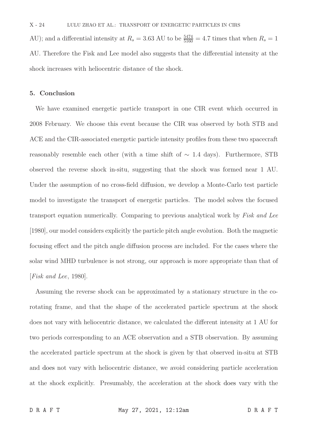AU); and a differential intensity at  $R_s = 3.63$  AU to be  $\frac{5474}{5160} = 4.7$  times that when  $R_s = 1$ AU. Therefore the Fisk and Lee model also suggests that the differential intensity at the shock increases with heliocentric distance of the shock.

### 5. Conclusion

We have examined energetic particle transport in one CIR event which occurred in 2008 February. We choose this event because the CIR was observed by both STB and ACE and the CIR-associated energetic particle intensity profiles from these two spacecraft reasonably resemble each other (with a time shift of  $\sim 1.4$  days). Furthermore, STB observed the reverse shock in-situ, suggesting that the shock was formed near 1 AU. Under the assumption of no cross-field diffusion, we develop a Monte-Carlo test particle model to investigate the transport of energetic particles. The model solves the focused transport equation numerically. Comparing to previous analytical work by Fisk and Lee [1980], our model considers explicitly the particle pitch angle evolution. Both the magnetic focusing effect and the pitch angle diffusion process are included. For the cases where the solar wind MHD turbulence is not strong, our approach is more appropriate than that of [Fisk and Lee, 1980].

Assuming the reverse shock can be approximated by a stationary structure in the corotating frame, and that the shape of the accelerated particle spectrum at the shock does not vary with heliocentric distance, we calculated the different intensity at 1 AU for two periods corresponding to an ACE observation and a STB observation. By assuming the accelerated particle spectrum at the shock is given by that observed in-situ at STB and does not vary with heliocentric distance, we avoid considering particle acceleration at the shock explicitly. Presumably, the acceleration at the shock does vary with the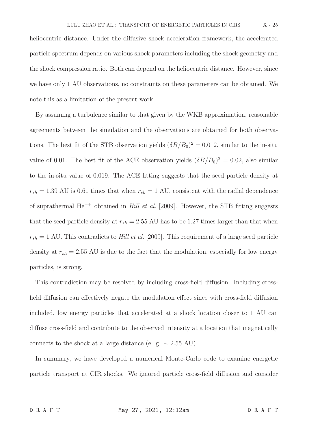heliocentric distance. Under the diffusive shock acceleration framework, the accelerated particle spectrum depends on various shock parameters including the shock geometry and the shock compression ratio. Both can depend on the heliocentric distance. However, since we have only 1 AU observations, no constraints on these parameters can be obtained. We note this as a limitation of the present work.

By assuming a turbulence similar to that given by the WKB approximation, reasonable agreements between the simulation and the observations are obtained for both observations. The best fit of the STB observation yields  $(\delta B/B_0)^2 = 0.012$ , similar to the in-situ value of 0.01. The best fit of the ACE observation yields  $(\delta B/B_0)^2 = 0.02$ , also similar to the in-situ value of 0.019. The ACE fitting suggests that the seed particle density at  $r_{sh} = 1.39$  AU is 0.61 times that when  $r_{sh} = 1$  AU, consistent with the radial dependence of suprathermal  $He^{++}$  obtained in *Hill et al.* [2009]. However, the STB fitting suggests that the seed particle density at  $r_{sh} = 2.55$  AU has to be 1.27 times larger than that when  $r_{sh} = 1$  AU. This contradicts to Hill et al. [2009]. This requirement of a large seed particle density at  $r_{sh} = 2.55$  AU is due to the fact that the modulation, especially for low energy particles, is strong.

This contradiction may be resolved by including cross-field diffusion. Including crossfield diffusion can effectively negate the modulation effect since with cross-field diffusion included, low energy particles that accelerated at a shock location closer to 1 AU can diffuse cross-field and contribute to the observed intensity at a location that magnetically connects to the shock at a large distance (e. g.  $\sim 2.55$  AU).

In summary, we have developed a numerical Monte-Carlo code to examine energetic particle transport at CIR shocks. We ignored particle cross-field diffusion and consider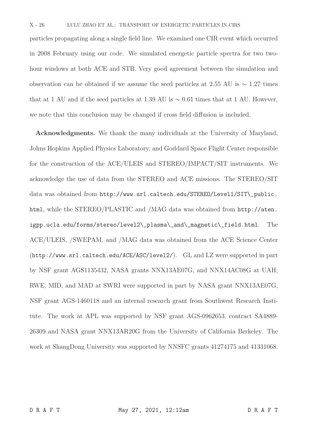particles propagating along a single field line. We examined one CIR event which occurred in 2008 February using our code. We simulated energetic particle spectra for two twohour windows at both ACE and STB. Very good agreement between the simulation and observation can be obtained if we assume the seed particles at 2.55 AU is  $\sim 1.27$  times that at 1 AU and if the seed particles at 1.39 AU is  $\sim 0.61$  times that at 1 AU. However, we note that this conclusion may be changed if cross field diffusion is included.

Acknowledgments. We thank the many individuals at the University of Maryland, Johns Hopkins Applied Physics Laboratory, and Goddard Space Flight Center responsible for the construction of the ACE/ULEIS and STEREO/IMPACT/SIT instruments. We acknowledge the use of data from the STEREO and ACE missions. The STEREO/SIT data was obtained from http://www.srl.caltech.edu/STEREO/Level1/SIT\\_public. html, while the STEREO/PLASTIC and /MAG data was obtained from http://aten. igpp.ucla.edu/forms/stereo/level2\\_plasma\\_and\\_magnetic\\_field.html. The ACE/ULEIS, /SWEPAM, and /MAG data was obtained from the ACE Science Center (http://www.srl.caltech.edu/ACE/ASC/level2/). GL and LZ were supported in part by NSF grant AGS1135432, NASA grants NNX13AE07G, and NNX14AC08G at UAH; RWE, MID, and MAD at SWRI were supported in part by NASA grant NNX13AE07G, NSF grant AGS-1460118 and an internal research grant from Southwest Research Institute. The work at APL was supported by NSF grant AGS-0962653, contract SA4889- 26309 and NASA grant NNX13AR20G from the University of California Berkeley. The work at ShangDong University was supported by NNSFC grants 41274175 and 41331068.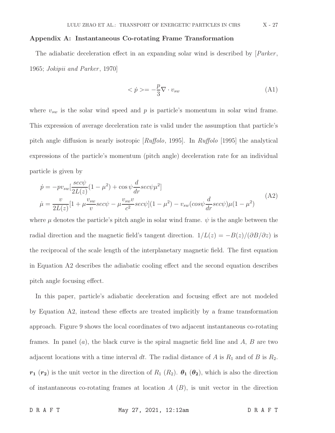#### Appendix A: Instantaneous Co-rotating Frame Transformation

The adiabatic deceleration effect in an expanding solar wind is described by  $[Parker,$ 1965; *Jokipii and Parker*, 1970]

$$
\langle \dot{p} \rangle = -\frac{p}{3} \nabla \cdot v_{sw} \tag{A1}
$$

where  $v_{sw}$  is the solar wind speed and p is particle's momentum in solar wind frame. This expression of average deceleration rate is valid under the assumption that particle's pitch angle diffusion is nearly isotropic [Ruffolo, 1995]. In Ruffolo [1995] the analytical expressions of the particle's momentum (pitch angle) deceleration rate for an individual particle is given by

$$
\dot{p} = -pv_{sw} \left[ \frac{sec\psi}{2L(z)} (1 - \mu^2) + \cos\psi \frac{d}{dr} sec\psi \mu^2 \right]
$$
\n
$$
\dot{\mu} = \frac{v}{2L(z)} [1 + \mu \frac{v_{sw}}{v} sec\psi - \mu \frac{v_{sw}v}{c^2} sec\psi] (1 - \mu^2) - v_{sw} (cos\psi \frac{d}{dr} sec\psi) \mu (1 - \mu^2)
$$
\n(A2)

where  $\mu$  denotes the particle's pitch angle in solar wind frame.  $\psi$  is the angle between the radial direction and the magnetic field's tangent direction.  $1/L(z) = -B(z)/(\partial B/\partial z)$  is the reciprocal of the scale length of the interplanetary magnetic field. The first equation in Equation A2 describes the adiabatic cooling effect and the second equation describes pitch angle focusing effect.

In this paper, particle's adiabatic deceleration and focusing effect are not modeled by Equation A2, instead these effects are treated implicitly by a frame transformation approach. Figure 9 shows the local coordinates of two adjacent instantaneous co-rotating frames. In panel  $(a)$ , the black curve is the spiral magnetic field line and  $A$ ,  $B$  are two adjacent locations with a time interval dt. The radial distance of A is  $R_1$  and of B is  $R_2$ .  $r_1$  ( $r_2$ ) is the unit vector in the direction of  $R_1$  ( $R_2$ ).  $\theta_1$  ( $\theta_2$ ), which is also the direction of instantaneous co-rotating frames at location  $A(B)$ , is unit vector in the direction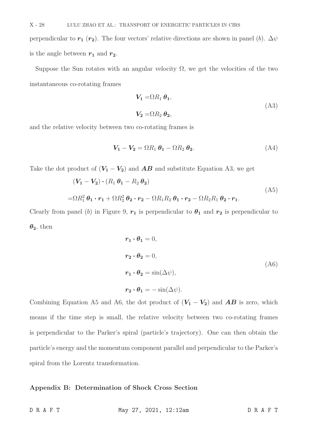perpendicular to  $r_1$  ( $r_2$ ). The four vectors' relative directions are shown in panel (b).  $\Delta \psi$ is the angle between  $r_1$  and  $r_2$ .

Suppose the Sun rotates with an angular velocity  $\Omega$ , we get the velocities of the two instantaneous co-rotating frames

$$
V_1 = \Omega R_1 \theta_1,
$$
  
\n
$$
V_2 = \Omega R_2 \theta_2,
$$
\n(A3)

and the relative velocity between two co-rotating frames is

$$
V_1 - V_2 = \Omega R_1 \theta_1 - \Omega R_2 \theta_2.
$$
 (A4)

Take the dot product of  $(V_1 - V_2)$  and  $AB$  and substitute Equation A3, we get

$$
(\mathbf{V}_1 - \mathbf{V}_2) \cdot (R_1 \boldsymbol{\theta}_1 - R_2 \boldsymbol{\theta}_2)
$$
  
=  $\Omega R_1^2 \boldsymbol{\theta}_1 \cdot \boldsymbol{r}_1 + \Omega R_2^2 \boldsymbol{\theta}_2 \cdot \boldsymbol{r}_2 - \Omega R_1 R_2 \boldsymbol{\theta}_1 \cdot \boldsymbol{r}_2 - \Omega R_2 R_1 \boldsymbol{\theta}_2 \cdot \boldsymbol{r}_1.$  (A5)

Clearly from panel (b) in Figure 9,  $r_1$  is perpendicular to  $\theta_1$  and  $r_2$  is perpendicular to  $\theta_2$ , then

$$
\mathbf{r}_1 \cdot \mathbf{\theta}_1 = 0,
$$
  
\n
$$
\mathbf{r}_2 \cdot \mathbf{\theta}_2 = 0,
$$
  
\n
$$
\mathbf{r}_1 \cdot \mathbf{\theta}_2 = \sin(\Delta \psi),
$$
  
\n
$$
\mathbf{r}_2 \cdot \mathbf{\theta}_1 = -\sin(\Delta \psi).
$$
  
\n(A6)

Combining Equation A5 and A6, the dot product of  $(V_1 - V_2)$  and **AB** is zero, which means if the time step is small, the relative velocity between two co-rotating frames is perpendicular to the Parker's spiral (particle's trajectory). One can then obtain the particle's energy and the momentum component parallel and perpendicular to the Parker's spiral from the Lorentz transformation.

## Appendix B: Determination of Shock Cross Section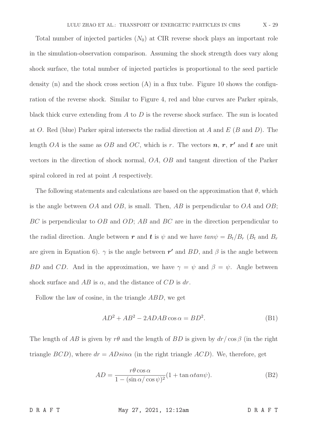Total number of injected particles  $(N_0)$  at CIR reverse shock plays an important role in the simulation-observation comparison. Assuming the shock strength does vary along shock surface, the total number of injected particles is proportional to the seed particle density (n) and the shock cross section  $(A)$  in a flux tube. Figure 10 shows the configuration of the reverse shock. Similar to Figure 4, red and blue curves are Parker spirals, black thick curve extending from  $A$  to  $D$  is the reverse shock surface. The sun is located at O. Red (blue) Parker spiral intersects the radial direction at A and E (B and D). The length OA is the same as OB and OC, which is r. The vectors  $n, r, r'$  and t are unit vectors in the direction of shock normal, OA, OB and tangent direction of the Parker spiral colored in red at point A respectively.

The following statements and calculations are based on the approximation that  $\theta$ , which is the angle between  $OA$  and  $OB$ , is small. Then,  $AB$  is perpendicular to  $OA$  and  $OB$ ;  $BC$  is perpendicular to  $OB$  and  $OD$ ;  $AB$  and  $BC$  are in the direction perpendicular to the radial direction. Angle between r and t is  $\psi$  and we have  $tan \psi = B_t/B_r$  ( $B_t$  and  $B_r$ ) are given in Equation 6).  $\gamma$  is the angle between r' and BD, and  $\beta$  is the angle between BD and CD. And in the approximation, we have  $\gamma = \psi$  and  $\beta = \psi$ . Angle between shock surface and AB is  $\alpha$ , and the distance of CD is dr.

Follow the law of cosine, in the triangle ABD, we get

$$
AD2 + AB2 - 2ADAB\cos\alpha = BD2.
$$
 (B1)

The length of AB is given by  $r\theta$  and the length of BD is given by  $dr/\cos\beta$  (in the right triangle  $BCD$ ), where  $dr = AB\sin\alpha$  (in the right triangle  $ACD$ ). We, therefore, get

$$
AD = \frac{r\theta\cos\alpha}{1 - (\sin\alpha/\cos\psi)^2} (1 + \tan\alpha \tan\psi).
$$
 (B2)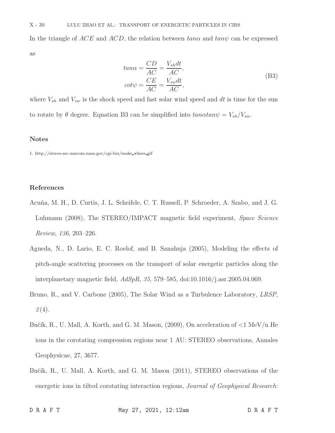In the triangle of  $ACE$  and  $ACD$ , the relation between  $tan\alpha$  and  $tan\psi$  can be expressed as

$$
tan\alpha = \frac{CD}{AC} = \frac{V_{sh}dt}{AC},
$$
  
\n
$$
cot\psi = \frac{CE}{AC} = \frac{V_{sw}dt}{AC},
$$
\n(B3)

where  $V_{sh}$  and  $V_{sw}$  is the shock speed and fast solar wind speed and dt is time for the sun to rotate by  $\theta$  degree. Equation B3 can be simplified into  $tan \alpha tan \psi = V_{sh}/V_{sw}$ .

### Notes

1. http://stereo-ssc.nascom.nasa.gov/cgi-bin/make where gif

## References

- Acuña, M. H., D. Curtis, J. L. Scheifele, C. T. Russell, P. Schroeder, A. Szabo, and J. G. Luhmann (2008), The STEREO/IMPACT magnetic field experiment, *Space Science* Review, 136, 203–226.
- Agueda, N., D. Lario, E. C. Roelof, and B. Sanahuja (2005), Modeling the effects of pitch-angle scattering processes on the transport of solar energetic particles along the interplanetary magnetic field, AdSpR, 35, 579–585, doi:10.1016/j.asr.2005.04.069.
- Bruno, R., and V. Carbone (2005), The Solar Wind as a Turbulence Laboratory, LRSP,  $2(4).$
- Bučík, R., U. Mall, A. Korth, and G. M. Mason,  $(2009)$ , On acceleration of  $\langle 1 \text{ MeV/n He}$ ions in the corotating compression regions near 1 AU: STEREO observations, Annales Geophysicae, 27, 3677.
- Bučík, R., U. Mall, A. Korth, and G. M. Mason (2011), STEREO observations of the energetic ions in tilted corotating interaction regions, Journal of Geophysical Research: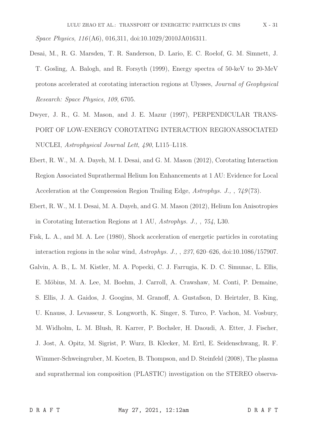- Desai, M., R. G. Marsden, T. R. Sanderson, D. Lario, E. C. Roelof, G. M. Simnett, J. T. Gosling, A. Balogh, and R. Forsyth (1999), Energy spectra of 50-keV to 20-MeV protons accelerated at corotating interaction regions at Ulysses, Journal of Geophysical Research: Space Physics, 109, 6705.
- Dwyer, J. R., G. M. Mason, and J. E. Mazur (1997), PERPENDICULAR TRANS-PORT OF LOW-ENERGY COROTATING INTERACTION REGIONASSOCIATED NUCLEI, Astrophysical Journal Lett, 490, L115–L118.
- Ebert, R. W., M. A. Dayeh, M. I. Desai, and G. M. Mason (2012), Corotating Interaction Region Associated Suprathermal Helium Ion Enhancements at 1 AU: Evidence for Local Acceleration at the Compression Region Trailing Edge, Astrophys. J., , 749 (73).
- Ebert, R. W., M. I. Desai, M. A. Dayeh, and G. M. Mason (2012), Helium Ion Anisotropies in Corotating Interaction Regions at 1 AU, Astrophys. J., , 754, L30.
- Fisk, L. A., and M. A. Lee (1980), Shock acceleration of energetic particles in corotating interaction regions in the solar wind, Astrophys. J., , 237, 620–626, doi:10.1086/157907.
- Galvin, A. B., L. M. Kistler, M. A. Popecki, C. J. Farrugia, K. D. C. Simunac, L. Ellis, E. Möbius, M. A. Lee, M. Boehm, J. Carroll, A. Crawshaw, M. Conti, P. Demaine, S. Ellis, J. A. Gaidos, J. Googins, M. Granoff, A. Gustafson, D. Heirtzler, B. King, U. Knauss, J. Levasseur, S. Longworth, K. Singer, S. Turco, P. Vachon, M. Vosbury, M. Widholm, L. M. Blush, R. Karrer, P. Bochsler, H. Daoudi, A. Etter, J. Fischer, J. Jost, A. Opitz, M. Sigrist, P. Wurz, B. Klecker, M. Ertl, E. Seidenschwang, R. F. Wimmer-Schweingruber, M. Koeten, B. Thompson, and D. Steinfeld (2008), The plasma and suprathermal ion composition (PLASTIC) investigation on the STEREO observa-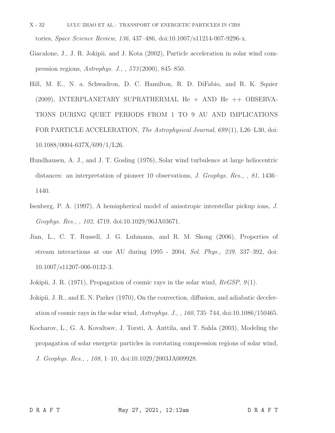- X 32 LULU ZHAO ET AL.: TRANSPORT OF ENERGETIC PARTICLES IN CIRS tories, Space Science Review, 136, 437–486, doi:10.1007/s11214-007-9296-x.
- Giacalone, J., J. R. Jokipii, and J. Kota (2002), Particle acceleration in solar wind compression regions, Astrophys. J., , 573 (2000), 845–850.
- Hill, M. E., N. a. Schwadron, D. C. Hamilton, R. D. DiFabio, and R. K. Squier (2009), INTERPLANETARY SUPRATHERMAL He  $+$  AND He  $++$  OBSERVA-TIONS DURING QUIET PERIODS FROM 1 TO 9 AU AND IMPLICATIONS FOR PARTICLE ACCELERATION, The Astrophysical Journal, 699(1), L26–L30, doi: 10.1088/0004-637X/699/1/L26.
- Hundhausen, A. J., and J. T. Gosling (1976), Solar wind turbulence at large heliocentric distances: an interpretation of pioneer 10 observations, J. Geophys. Res., , 81, 1436– 1440.
- Isenberg, P. A. (1997), A hemispherical model of anisotropic interstellar pickup ions, J. Geophys. Res., , 102, 4719, doi:10.1029/96JA03671.
- Jian, L., C. T. Russell, J. G. Luhmann, and R. M. Skoug (2006), Properties of stream interactions at one AU during 1995 - 2004, Sol. Phys., 239, 337–392, doi: 10.1007/s11207-006-0132-3.
- Jokipii, J. R. (1971), Propagation of cosmic rays in the solar wind,  $RvGSP$ ,  $9(1)$ .
- Jokipii, J. R., and E. N. Parker (1970), On the convection, diffusion, and adiabatic deceleration of cosmic rays in the solar wind, Astrophys. J., , 160, 735–744, doi:10.1086/150465.
- Kocharov, L., G. A. Kovaltsov, J. Torsti, A. Anttila, and T. Sahla (2003), Modeling the propagation of solar energetic particles in corotating compression regions of solar wind, J. Geophys. Res., , 108, 1–10, doi:10.1029/2003JA009928.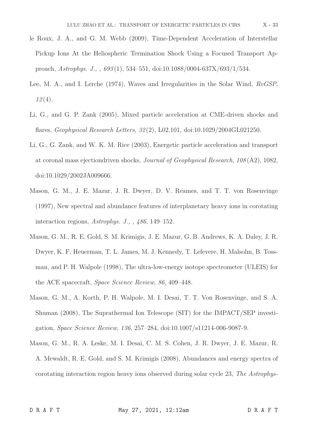- le Roux, J. A., and G. M. Webb (2009), Time-Dependent Acceleration of Interstellar Pickup Ions At the Heliospheric Termination Shock Using a Focused Transport Approach, Astrophys. J., , 693 (1), 534–551, doi:10.1088/0004-637X/693/1/534.
- Lee, M. A., and I. Lerche (1974), Waves and Irregularities in the Solar Wind,  $RvGSP$ ,  $12(4)$ .
- Li, G., and G. P. Zank (2005), Mixed particle acceleration at CME-driven shocks and flares, Geophysical Research Letters, 32 (2), L02,101, doi:10.1029/2004GL021250.
- Li, G., G. Zank, and W. K. M. Rice (2003), Energetic particle acceleration and transport at coronal mass ejectiondriven shocks, Journal of Geophysical Research, 108 (A2), 1082, doi:10.1029/2002JA009666.
- Mason, G. M., J. E. Mazur, J. R. Dwyer, D. V. Reames, and T. T. von Rosenvinge (1997), New spectral and abundance features of interplanetary heavy ions in corotating interaction regions, Astrophys. J., , 486, 149–152.
- Mason, G. M., R. E. Gold, S. M. Krimigis, J. E. Mazur, G. B. Andrews, K. A. Daley, J. R. Dwyer, K. F. Heuerman, T. L. James, M. J. Kennedy, T. Lefevere, H. Malsolm, B. Tossman, and P. H. Walpole (1998), The ultra-low-energy isotope spectrometer (ULEIS) for the ACE spacecraft, Space Science Review, 86, 409–448.
- Mason, G. M., A. Korth, P. H. Walpole, M. I. Desai, T. T. Von Rosenvinge, and S. A. Shuman (2008), The Suprathermal Ion Telescope (SIT) for the IMPACT/SEP investigation, Space Science Review, 136, 257–284, doi:10.1007/s11214-006-9087-9.
- Mason, G. M., R. A. Leske, M. I. Desai, C. M. S. Cohen, J. R. Dwyer, J. E. Mazur, R. A. Mewaldt, R. E. Gold, and S. M. Krimigis (2008), Abundances and energy spectra of corotating interaction region heavy ions observed during solar cycle 23, The Astrophys-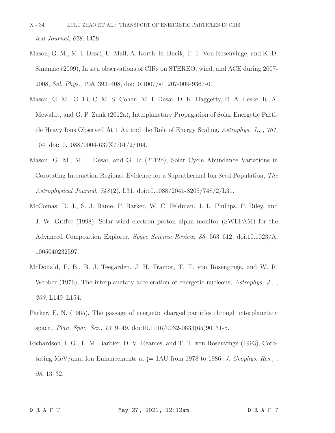- X 34 LULU ZHAO ET AL.: TRANSPORT OF ENERGETIC PARTICLES IN CIRS ical Journal, 678, 1458.
- Mason, G. M., M. I. Desai, U. Mall, A. Korth, R. Bucik, T. T. Von Rosenvinge, and K. D. Simunac (2009), In situ observations of CIRs on STEREO, wind, and ACE during 2007- 2008, Sol. Phys., 256, 393–408, doi:10.1007/s11207-009-9367-0.
- Mason, G. M., G. Li, C. M. S. Cohen, M. I. Desai, D. K. Haggerty, R. A. Leske, R. A. Mewaldt, and G. P. Zank (2012a), Interplanetary Propagation of Solar Energetic Particle Heavy Ions Observed At 1 Au and the Role of Energy Scaling, Astrophys. J., , 761, 104, doi:10.1088/0004-637X/761/2/104.
- Mason, G. M., M. I. Desai, and G. Li (2012b), Solar Cycle Abundance Variations in Corotating Interaction Regions: Evidence for a Suprathermal Ion Seed Population, The Astrophysical Journal, 748 (2), L31, doi:10.1088/2041-8205/748/2/L31.
- McComas, D. J., S. J. Bame, P. Barker, W. C. Feldman, J. L. Phillips, P. Riley, and J. W. Griffee (1998), Solar wind electron proton alpha monitor (SWEPAM) for the Advanced Composition Explorer, Space Science Review, 86, 563–612, doi:10.1023/A: 1005040232597.
- McDonald, F. B., B. J. Teegarden, J. H. Trainor, T. T. von Rosenginge, and W. R. Webber (1976), The interplanetary acceleration of energetic nucleons, Astrophys. J., 203, L149–L154.
- Parker, E. N. (1965), The passage of energetic charged particles through interplanetary space., Plan. Spac. Sci., 13, 9–49, doi:10.1016/0032-0633(65)90131-5.
- Richardson, I. G., L. M. Barbier, D. V. Reames, and T. T. von Rosenvinge (1993), Corotating MeV/amu Ion Enhancements at  $= 1 \text{AU}$  from 1978 to 1986, J. Geophys. Res., 98, 13–32.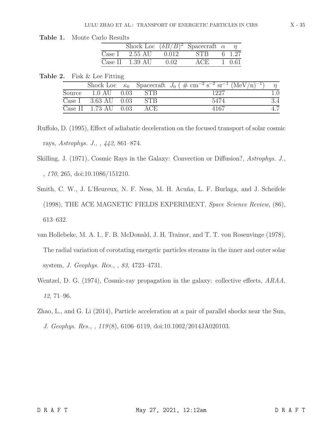|        |                           |       | Shock Loc $(\delta B/B)^2$ Spacecraft $\alpha$ $\eta$ |        |
|--------|---------------------------|-------|-------------------------------------------------------|--------|
| Case I | 2.55 AU                   | 0.012 | <b>STB</b>                                            | 6 1.27 |
|        | Case II $1.39 \text{ AU}$ | 0.02  | ACE                                                   | 1 0.61 |

| Table 2. |  |  | Fisk & Lee Fitting |
|----------|--|--|--------------------|
|----------|--|--|--------------------|

Table 1. Monte Carlo Results

|         |                        |      |            | Shock Loc $\kappa_0$ Spacecraft $J_0$ ( $\#$ cm <sup>-2</sup> s <sup>-2</sup> sr <sup>-1</sup> (MeV/n) <sup>-1</sup> ) |  |
|---------|------------------------|------|------------|------------------------------------------------------------------------------------------------------------------------|--|
| Source  | 1.0 AU                 | 0.03 | <b>STR</b> | 1227                                                                                                                   |  |
| Case I  | $3.63$ AU $0.03$       |      |            | 5474                                                                                                                   |  |
| Case II | $1.73 \text{ AU}$ 0.03 |      |            | 4167                                                                                                                   |  |

- Ruffolo, D. (1995), Effect of adiabatic deceleration on the focused transport of solar cosmic rays, Astrophys. J., , 442, 861–874.
- Skilling, J. (1971), Cosmic Rays in the Galaxy: Convection or Diffusion?, Astrophys. J., , 170, 265, doi:10.1086/151210.
- Smith, C. W., J. L'Heureux, N. F. Ness, M. H. Acuña, L. F. Burlaga, and J. Scheifele (1998), THE ACE MAGNETIC FIELDS EXPERIMENT, Space Science Review, (86), 613–632.
- van Hollebeke, M. A. I., F. B. McDonald, J. H. Trainor, and T. T. von Rosenvinge (1978), The radial variation of corotating energetic particles streams in the inner and outer solar system, J. Geophys. Res., , 83, 4723–4731.
- Wentzel, D. G. (1974), Cosmic-ray propagation in the galaxy: collective effects, ARAA, 12, 71–96.
- Zhao, L., and G. Li (2014), Particle acceleration at a pair of parallel shocks near the Sun, J. Geophys. Res., , 119 (8), 6106–6119, doi:10.1002/2014JA020103.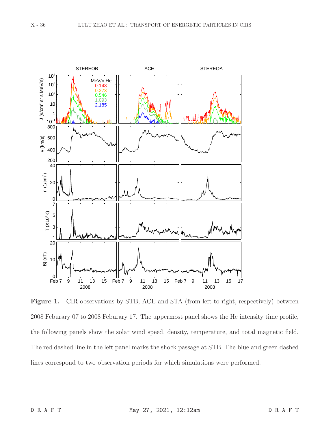

Figure 1. CIR observations by STB, ACE and STA (from left to right, respectively) between 2008 Feburary 07 to 2008 Feburary 17. The uppermost panel shows the He intensity time profile, the following panels show the solar wind speed, density, temperature, and total magnetic field. The red dashed line in the left panel marks the shock passage at STB. The blue and green dashed lines correspond to two observation periods for which simulations were performed.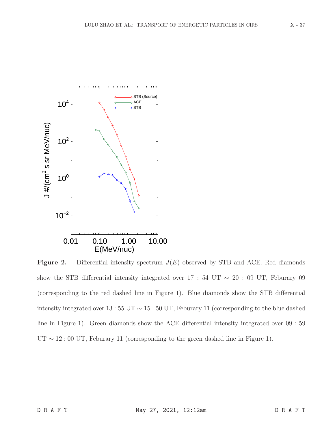

**Figure 2.** Differential intensity spectrum  $J(E)$  observed by STB and ACE. Red diamonds show the STB differential intensity integrated over  $17 : 54 \text{ UT} \sim 20 : 09 \text{ UT}$ , Feburary 09 (corresponding to the red dashed line in Figure 1). Blue diamonds show the STB differential intensity integrated over 13 : 55 UT ∼ 15 : 50 UT, Feburary 11 (corresponding to the blue dashed line in Figure 1). Green diamonds show the ACE differential intensity integrated over 09 : 59 UT  $\sim$  12 : 00 UT, Feburary 11 (corresponding to the green dashed line in Figure 1).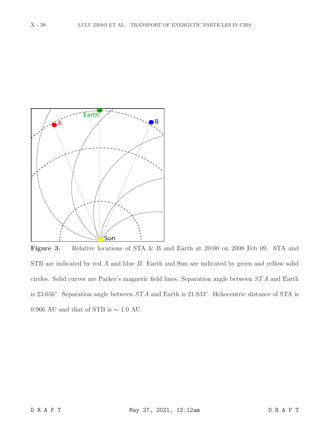

Figure 3. Relative locations of STA & B and Earth at 20:00 on 2008 Feb 09. STA and STB are indicated by red A and blue B. Earth and Sun are indicated by green and yellow solid circles. Solid curves are Parker's magnetic field lines. Separation angle between  $STA$  and Earth is 23.656°. Separation angle between  $STA$  and Earth is 21.833°. Heliocentric distance of STA is 0.966 AU and that of STB is  $\sim$  1.0 AU.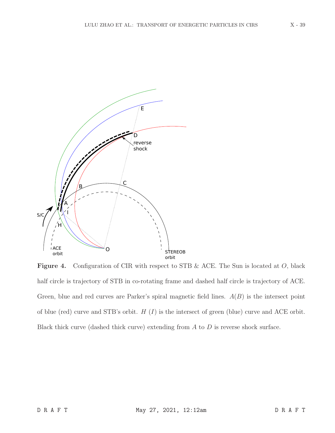

**Figure 4.** Configuration of CIR with respect to STB  $\&$  ACE. The Sun is located at  $O$ , black half circle is trajectory of STB in co-rotating frame and dashed half circle is trajectory of ACE. Green, blue and red curves are Parker's spiral magnetic field lines.  $A(B)$  is the intersect point of blue (red) curve and STB's orbit.  $H(I)$  is the intersect of green (blue) curve and ACE orbit. Black thick curve (dashed thick curve) extending from  $A$  to  $D$  is reverse shock surface.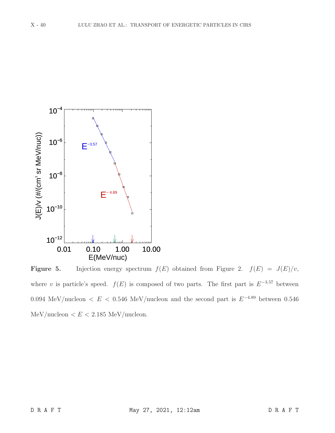

**Figure 5.** Injection energy spectrum  $f(E)$  obtained from Figure 2.  $f(E) = J(E)/v$ , where v is particle's speed.  $f(E)$  is composed of two parts. The first part is  $E^{-3.57}$  between 0.094 MeV/nucleon <  $E$  < 0.546 MeV/nucleon and the second part is  $E^{-4.89}$  between 0.546 MeV/nucleon  $\lt E \lt 2.185$  MeV/nucleon.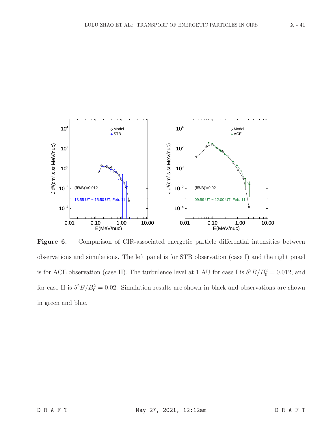

Figure 6. Comparison of CIR-associated energetic particle differential intensities between observations and simulations. The left panel is for STB observation (case I) and the right pnael is for ACE observation (case II). The turbulence level at 1 AU for case I is  $\delta^2 B/B_0^2 = 0.012$ ; and for case II is  $\delta^2 B/B_0^2 = 0.02$ . Simulation results are shown in black and observations are shown in green and blue.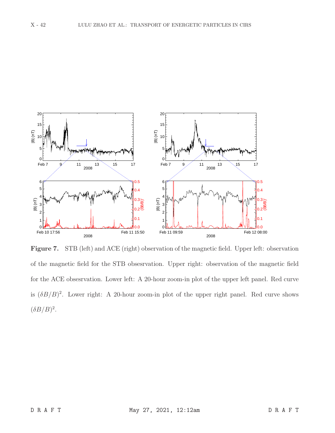

Figure 7. STB (left) and ACE (right) observation of the magnetic field. Upper left: observation of the magnetic field for the STB obsesrvation. Upper right: observation of the magnetic field for the ACE obsesrvation. Lower left: A 20-hour zoom-in plot of the upper left panel. Red curve is  $(\delta B/B)^2$ . Lower right: A 20-hour zoom-in plot of the upper right panel. Red curve shows  $(\delta B/B)^2$ .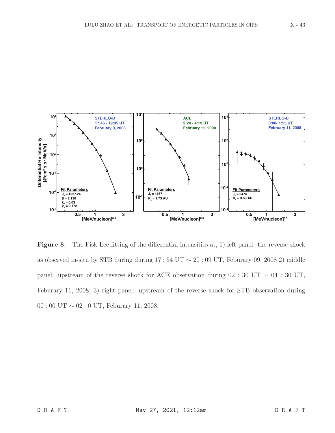

Figure 8. The Fisk-Lee fitting of the differential intensities at, 1) left panel: the reverse shock as observed in-situ by STB during during 17 : 54 UT ∼ 20 : 09 UT, Feburary 09, 2008 2) middle panel: upstream of the reverse shock for ACE observation during 02 : 30 UT  $\sim$  04 : 30 UT, Feburary 11, 2008; 3) right panel: upstream of the reverse shock for STB observation during 00 : 00 UT ∼ 02 : 0 UT, Feburary 11, 2008.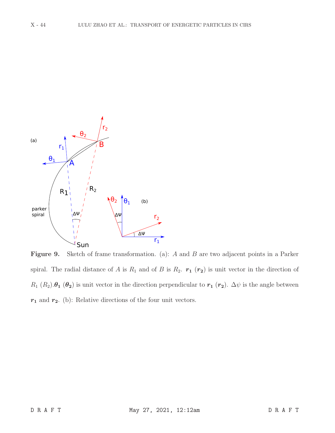

Figure 9. Sketch of frame transformation. (a): A and B are two adjacent points in a Parker spiral. The radial distance of A is  $R_1$  and of B is  $R_2$ .  $r_1$  ( $r_2$ ) is unit vector in the direction of  $R_1(R_2) \cdot \theta_1 (\theta_2)$  is unit vector in the direction perpendicular to  $r_1(r_2)$ .  $\Delta \psi$  is the angle between  $r_1$  and  $r_2$ . (b): Relative directions of the four unit vectors.